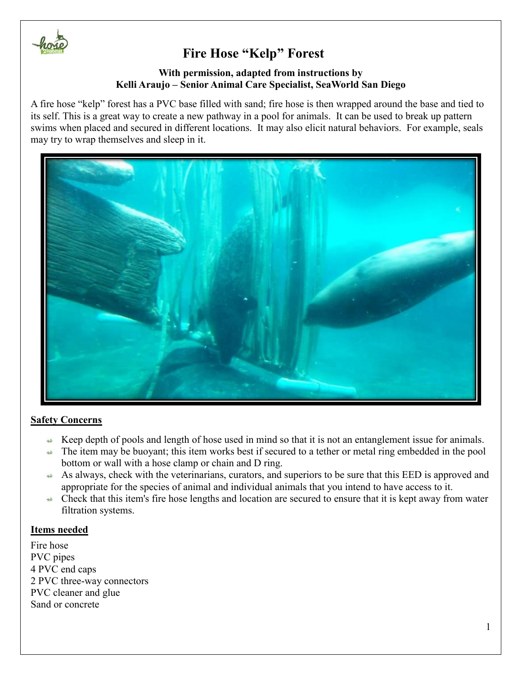

## **With permission, adapted from instructions by Kelli Araujo – Senior Animal Care Specialist, SeaWorld San Diego**

A fire hose "kelp" forest has a PVC base filled with sand; fire hose is then wrapped around the base and tied to its self. This is a great way to create a new pathway in a pool for animals. It can be used to break up pattern swims when placed and secured in different locations. It may also elicit natural behaviors. For example, seals may try to wrap themselves and sleep in it.



### **Safety Concerns**

- $\leftrightarrow$  Keep depth of pools and length of hose used in mind so that it is not an entanglement issue for animals.
- $\rightarrow$  The item may be buoyant; this item works best if secured to a tether or metal ring embedded in the pool bottom or wall with a hose clamp or chain and D ring.
- As always, check with the veterinarians, curators, and superiors to be sure that this EED is approved and appropriate for the species of animal and individual animals that you intend to have access to it.
- $\triangle$  Check that this item's fire hose lengths and location are secured to ensure that it is kept away from water filtration systems.

### **Items needed**

Fire hose PVC pipes 4 PVC end caps 2 PVC three-way connectors PVC cleaner and glue Sand or concrete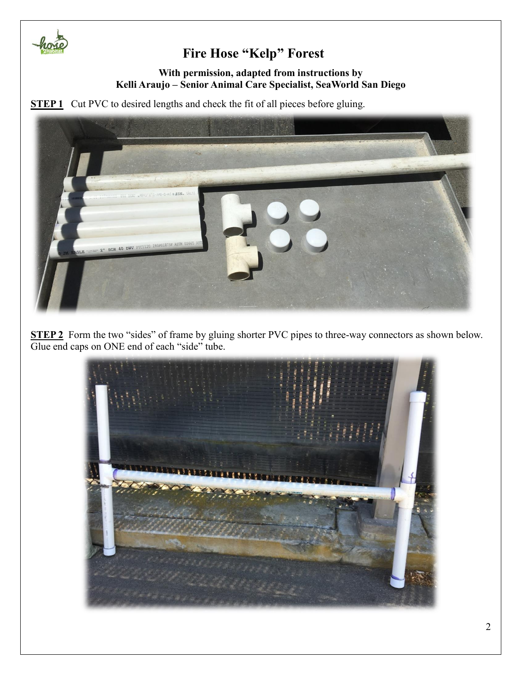

## **With permission, adapted from instructions by Kelli Araujo – Senior Animal Care Specialist, SeaWorld San Diego**

**STEP 1** Cut PVC to desired lengths and check the fit of all pieces before gluing.



**STEP 2** Form the two "sides" of frame by gluing shorter PVC pipes to three-way connectors as shown below. Glue end caps on ONE end of each "side" tube.

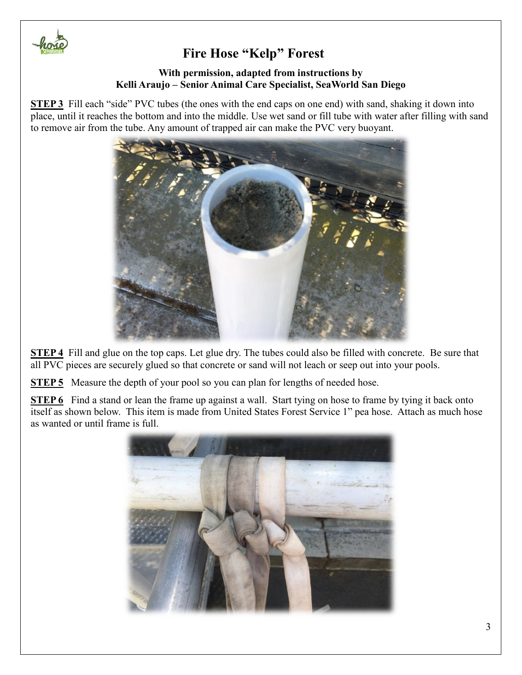

## **With permission, adapted from instructions by Kelli Araujo – Senior Animal Care Specialist, SeaWorld San Diego**

**STEP 3** Fill each "side" PVC tubes (the ones with the end caps on one end) with sand, shaking it down into place, until it reaches the bottom and into the middle. Use wet sand or fill tube with water after filling with sand to remove air from the tube. Any amount of trapped air can make the PVC very buoyant.



**STEP 4** Fill and glue on the top caps. Let glue dry. The tubes could also be filled with concrete. Be sure that all PVC pieces are securely glued so that concrete or sand will not leach or seep out into your pools.

**STEP 5** Measure the depth of your pool so you can plan for lengths of needed hose.

**STEP 6** Find a stand or lean the frame up against a wall. Start tying on hose to frame by tying it back onto itself as shown below. This item is made from United States Forest Service 1" pea hose. Attach as much hose as wanted or until frame is full.